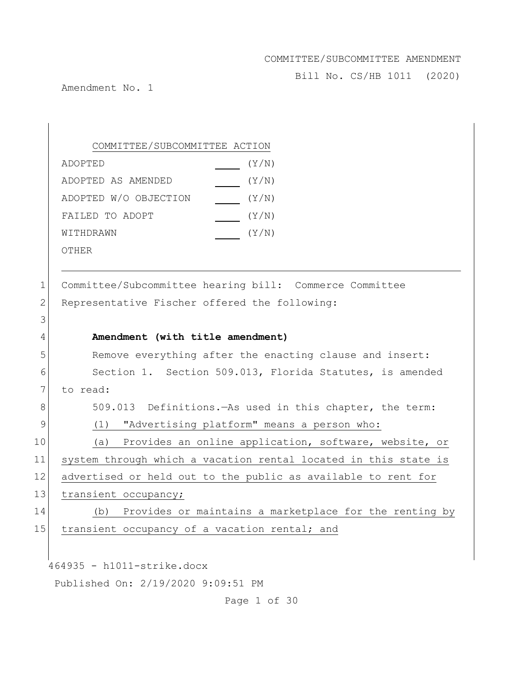Bill No. CS/HB 1011 (2020)

Amendment No. 1

COMMITTEE/SUBCOMMITTEE ACTION ADOPTED(Y/N) ADOPTED AS AMENDED(Y/N) ADOPTED W/O OBJECTION [Y/N] FAILED TO ADOPT  $(Y/N)$ WITHDRAWN(Y/N) OTHER

1 Committee/Subcommittee hearing bill: Commerce Committee 2 Representative Fischer offered the following: 3 4 **Amendment (with title amendment)** 5 Remove everything after the enacting clause and insert:

6 Section 1. Section 509.013, Florida Statutes, is amended 7 to read: 8 509.013 Definitions.—As used in this chapter, the term: 9 (1) "Advertising platform" means a person who: 10 (a) Provides an online application, software, website, or 11 system through which a vacation rental located in this state is 12 advertised or held out to the public as available to rent for 13 transient occupancy; 14 (b) Provides or maintains a marketplace for the renting by 15 transient occupancy of a vacation rental; and

464935 - h1011-strike.docx

Published On: 2/19/2020 9:09:51 PM

Page 1 of 30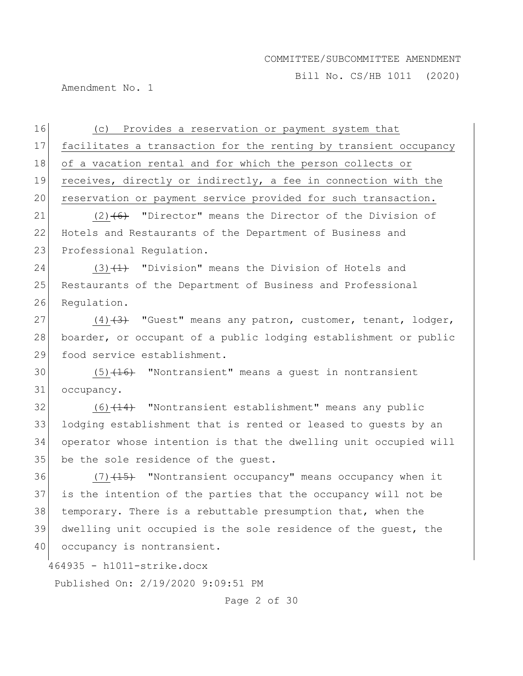Bill No. CS/HB 1011 (2020)

Amendment No. 1

464935 - h1011-strike.docx 16 (c) Provides a reservation or payment system that 17 facilitates a transaction for the renting by transient occupancy 18 of a vacation rental and for which the person collects or 19 receives, directly or indirectly, a fee in connection with the 20 reservation or payment service provided for such transaction. 21 (2) $(6)$  "Director" means the Director of the Division of 22 Hotels and Restaurants of the Department of Business and 23 Professional Requiation. 24 (3) $(1)$  "Division" means the Division of Hotels and 25 Restaurants of the Department of Business and Professional 26 Requlation. 27  $(4)$   $(3)$  "Guest" means any patron, customer, tenant, lodger, 28 boarder, or occupant of a public lodging establishment or public 29 food service establishment. 30  $(5)$   $(16)$  "Nontransient" means a quest in nontransient 31 occupancy.  $32$  (6)<del>(14)</del> "Nontransient establishment" means any public 33 lodging establishment that is rented or leased to guests by an 34 operator whose intention is that the dwelling unit occupied will 35 be the sole residence of the quest. 36 (7) $(15)$  "Nontransient occupancy" means occupancy when it 37 is the intention of the parties that the occupancy will not be 38 temporary. There is a rebuttable presumption that, when the 39 dwelling unit occupied is the sole residence of the guest, the 40 occupancy is nontransient.

Page 2 of 30

Published On: 2/19/2020 9:09:51 PM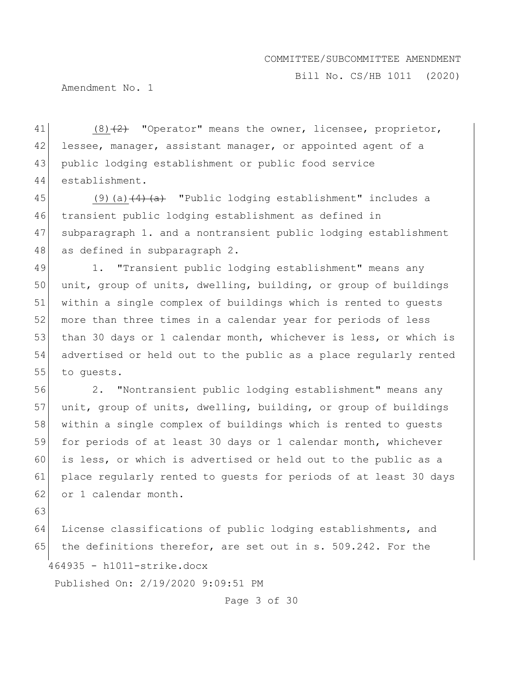Bill No. CS/HB 1011 (2020)

Amendment No. 1

 $(8)$   $(2)$  "Operator" means the owner, licensee, proprietor, 42 lessee, manager, assistant manager, or appointed agent of a public lodging establishment or public food service establishment.

45 (9)(a) $\left(4\right)$  (a)  $\left(4\right)$  "Public lodging establishment" includes a 46 transient public lodging establishment as defined in 47 subparagraph 1. and a nontransient public lodging establishment 48 as defined in subparagraph 2.

49 1. "Transient public lodging establishment" means any 50 unit, group of units, dwelling, building, or group of buildings 51 within a single complex of buildings which is rented to guests 52 more than three times in a calendar year for periods of less 53 than 30 days or 1 calendar month, whichever is less, or which is 54 advertised or held out to the public as a place regularly rented 55 to quests.

56 2. "Nontransient public lodging establishment" means any 57 unit, group of units, dwelling, building, or group of buildings 58 within a single complex of buildings which is rented to quests 59 for periods of at least 30 days or 1 calendar month, whichever 60 is less, or which is advertised or held out to the public as a 61 place regularly rented to guests for periods of at least 30 days 62 or 1 calendar month.

63

464935 - h1011-strike.docx 64 License classifications of public lodging establishments, and 65 the definitions therefor, are set out in s. 509.242. For the

Published On: 2/19/2020 9:09:51 PM

Page 3 of 30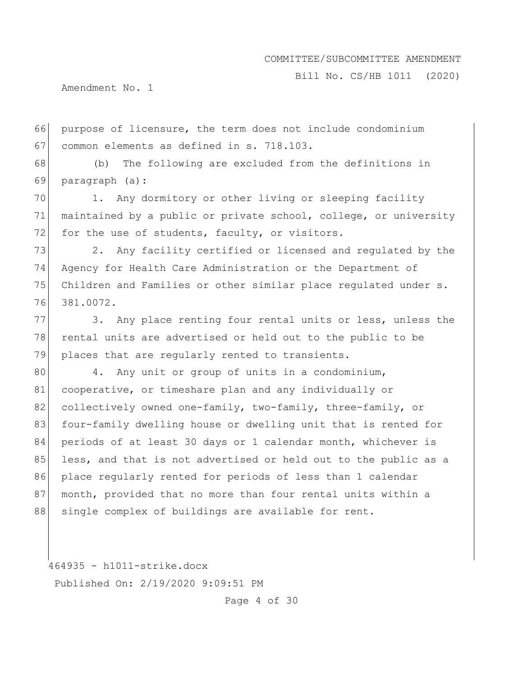Bill No. CS/HB 1011 (2020)

Amendment No. 1

66 purpose of licensure, the term does not include condominium 67 common elements as defined in s. 718.103.

68 (b) The following are excluded from the definitions in 69 paragraph (a):

70 1. Any dormitory or other living or sleeping facility 71 maintained by a public or private school, college, or university 72 for the use of students, faculty, or visitors.

73 2. Any facility certified or licensed and regulated by the Agency for Health Care Administration or the Department of Children and Families or other similar place regulated under s. 381.0072.

77 3. Any place renting four rental units or less, unless the 78 rental units are advertised or held out to the public to be 79 places that are regularly rented to transients.

80 4. Any unit or group of units in a condominium, 81 cooperative, or timeshare plan and any individually or 82 collectively owned one-family, two-family, three-family, or 83 four-family dwelling house or dwelling unit that is rented for 84 periods of at least 30 days or 1 calendar month, whichever is 85 less, and that is not advertised or held out to the public as a 86 place regularly rented for periods of less than 1 calendar 87 month, provided that no more than four rental units within a 88 single complex of buildings are available for rent.

464935 - h1011-strike.docx Published On: 2/19/2020 9:09:51 PM

Page 4 of 30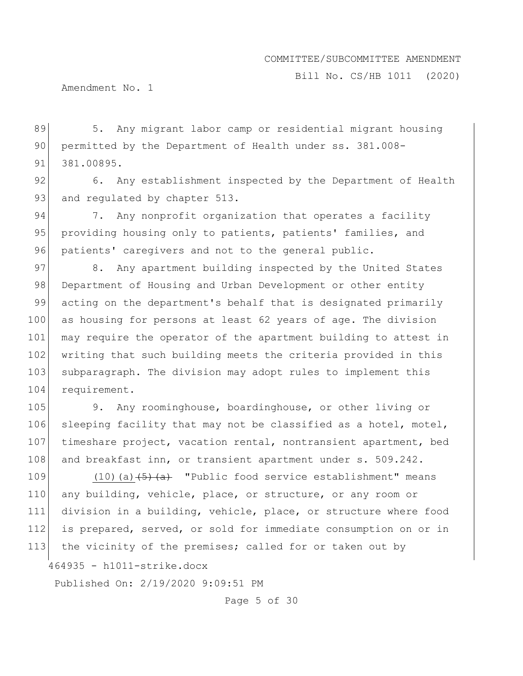Bill No. CS/HB 1011 (2020)

Amendment No. 1

89 5. Any migrant labor camp or residential migrant housing 90 permitted by the Department of Health under ss. 381.008-91 381.00895.

92 6. Any establishment inspected by the Department of Health 93 and regulated by chapter 513.

94 7. Any nonprofit organization that operates a facility 95 providing housing only to patients, patients' families, and 96 patients' caregivers and not to the general public.

97 8. Any apartment building inspected by the United States 98 Department of Housing and Urban Development or other entity 99 acting on the department's behalf that is designated primarily 100 as housing for persons at least 62 years of age. The division 101 may require the operator of the apartment building to attest in 102 writing that such building meets the criteria provided in this 103 subparagraph. The division may adopt rules to implement this 104 requirement.

105 9. Any roominghouse, boardinghouse, or other living or 106 sleeping facility that may not be classified as a hotel, motel, 107 timeshare project, vacation rental, nontransient apartment, bed 108 and breakfast inn, or transient apartment under s. 509.242.

109  $(10)(a)$   $\overline{5}(a)$  "Public food service establishment" means 110 any building, vehicle, place, or structure, or any room or 111 division in a building, vehicle, place, or structure where food 112 is prepared, served, or sold for immediate consumption on or in 113 the vicinity of the premises; called for or taken out by

464935 - h1011-strike.docx

Published On: 2/19/2020 9:09:51 PM

Page 5 of 30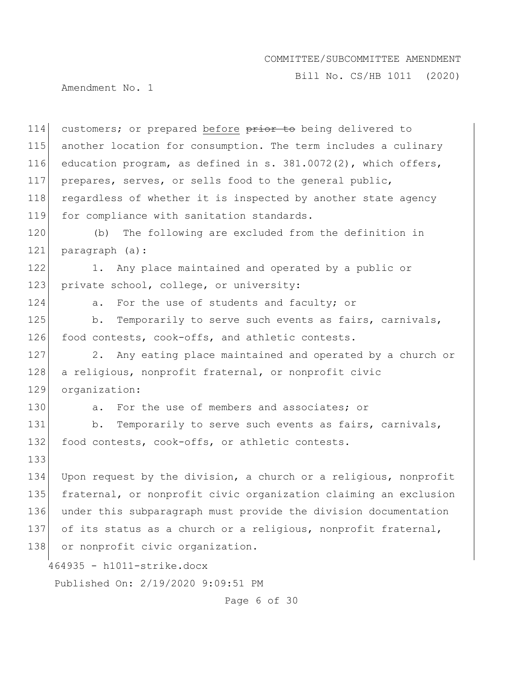Bill No. CS/HB 1011 (2020)

Amendment No. 1

464935 - h1011-strike.docx Published On: 2/19/2020 9:09:51 PM 114 customers; or prepared before prior to being delivered to 115 another location for consumption. The term includes a culinary 116 education program, as defined in s. 381.0072(2), which offers, 117 prepares, serves, or sells food to the general public, 118 regardless of whether it is inspected by another state agency 119 for compliance with sanitation standards. 120 (b) The following are excluded from the definition in 121 paragraph (a): 122 1. Any place maintained and operated by a public or 123 private school, college, or university: 124 a. For the use of students and faculty; or 125 b. Temporarily to serve such events as fairs, carnivals, 126 food contests, cook-offs, and athletic contests. 127 2. Any eating place maintained and operated by a church or 128 a religious, nonprofit fraternal, or nonprofit civic 129 organization: 130 a. For the use of members and associates; or 131 b. Temporarily to serve such events as fairs, carnivals, 132 food contests, cook-offs, or athletic contests. 133 134 Upon request by the division, a church or a religious, nonprofit 135 fraternal, or nonprofit civic organization claiming an exclusion 136 under this subparagraph must provide the division documentation 137 of its status as a church or a religious, nonprofit fraternal, 138 or nonprofit civic organization.

Page 6 of 30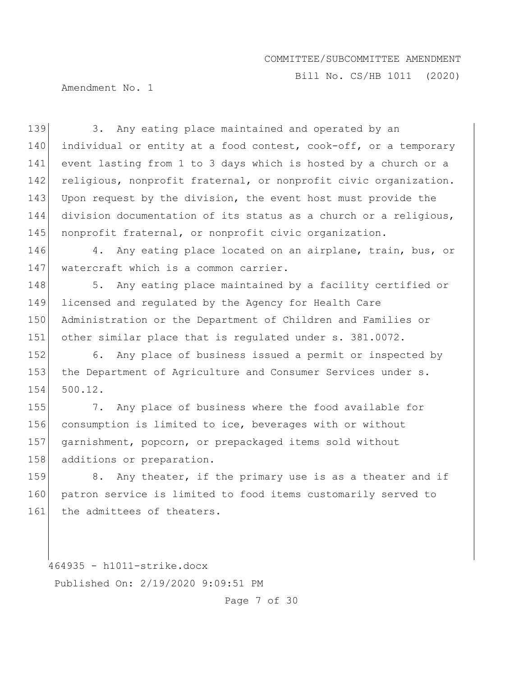Bill No. CS/HB 1011 (2020)

Amendment No. 1

139 3. Any eating place maintained and operated by an 140 individual or entity at a food contest, cook-off, or a temporary 141 event lasting from 1 to 3 days which is hosted by a church or a 142 religious, nonprofit fraternal, or nonprofit civic organization. 143 Upon request by the division, the event host must provide the 144 division documentation of its status as a church or a religious, 145 nonprofit fraternal, or nonprofit civic organization. 146 4. Any eating place located on an airplane, train, bus, or 147 | watercraft which is a common carrier. 148 5. Any eating place maintained by a facility certified or 149 licensed and regulated by the Agency for Health Care 150 Administration or the Department of Children and Families or 151 other similar place that is regulated under s. 381.0072. 152 6. Any place of business issued a permit or inspected by 153 the Department of Agriculture and Consumer Services under s. 154 500.12. 155 7. Any place of business where the food available for 156 consumption is limited to ice, beverages with or without 157 garnishment, popcorn, or prepackaged items sold without 158 additions or preparation. 159 8. Any theater, if the primary use is as a theater and if 160 patron service is limited to food items customarily served to 161 the admittees of theaters.

464935 - h1011-strike.docx Published On: 2/19/2020 9:09:51 PM

Page 7 of 30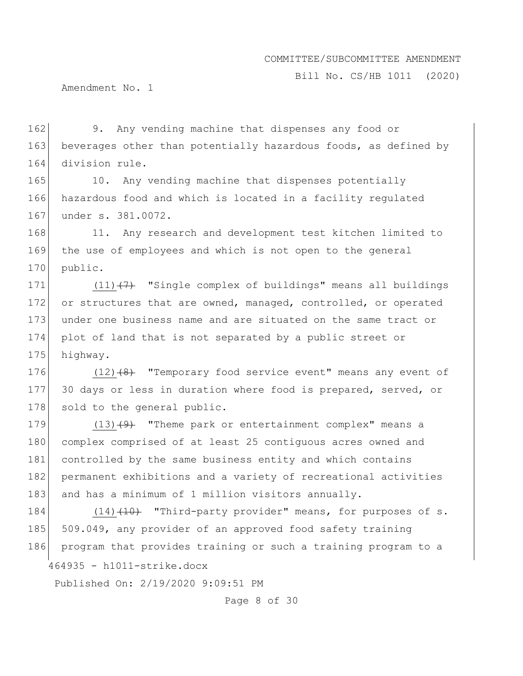Bill No. CS/HB 1011 (2020)

Amendment No. 1

162 9. Any vending machine that dispenses any food or 163 beverages other than potentially hazardous foods, as defined by 164 division rule.

165 10. Any vending machine that dispenses potentially 166 hazardous food and which is located in a facility regulated 167 under s. 381.0072.

168 11. Any research and development test kitchen limited to 169 the use of employees and which is not open to the general 170 public.

171  $(11)$   $(7)$  "Single complex of buildings" means all buildings 172 or structures that are owned, managed, controlled, or operated 173 under one business name and are situated on the same tract or 174 plot of land that is not separated by a public street or 175 highway.

176  $(12)$   $(8)$  "Temporary food service event" means any event of 177 30 days or less in duration where food is prepared, served, or 178 sold to the general public.

179  $(13)$   $(9)$  "Theme park or entertainment complex" means a 180 complex comprised of at least 25 contiguous acres owned and 181 controlled by the same business entity and which contains 182 permanent exhibitions and a variety of recreational activities 183 and has a minimum of 1 million visitors annually.

464935 - h1011-strike.docx 184  $(14)$   $(10)$  "Third-party provider" means, for purposes of s. 185 509.049, any provider of an approved food safety training 186 program that provides training or such a training program to a

Published On: 2/19/2020 9:09:51 PM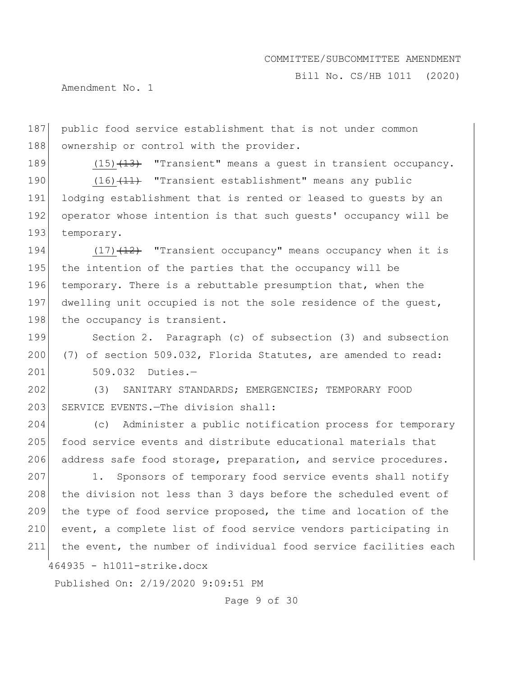Bill No. CS/HB 1011 (2020)

Amendment No. 1

187 public food service establishment that is not under common 188 ownership or control with the provider.

189 (15)<del>(13)</del> "Transient" means a quest in transient occupancy.

190 (16)<del>(11)</del> "Transient establishment" means any public 191 lodging establishment that is rented or leased to quests by an 192 operator whose intention is that such guests' occupancy will be 193 temporary.

194  $(17)$   $(12)$  "Transient occupancy" means occupancy when it is 195 the intention of the parties that the occupancy will be 196 temporary. There is a rebuttable presumption that, when the 197 dwelling unit occupied is not the sole residence of the guest, 198 the occupancy is transient.

199 Section 2. Paragraph (c) of subsection (3) and subsection 200  $(7)$  of section 509.032, Florida Statutes, are amended to read: 201 509.032 Duties.—

202 (3) SANITARY STANDARDS; EMERGENCIES; TEMPORARY FOOD 203 SERVICE EVENTS.—The division shall:

204 (c) Administer a public notification process for temporary 205 food service events and distribute educational materials that 206 address safe food storage, preparation, and service procedures.

207 1. Sponsors of temporary food service events shall notify 208 the division not less than 3 days before the scheduled event of 209 the type of food service proposed, the time and location of the 210 event, a complete list of food service vendors participating in 211 the event, the number of individual food service facilities each

464935 - h1011-strike.docx

Published On: 2/19/2020 9:09:51 PM

Page 9 of 30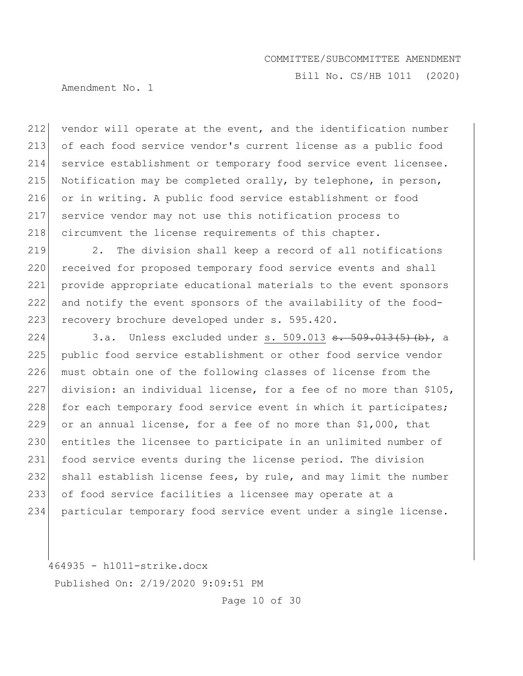Bill No. CS/HB 1011 (2020)

Amendment No. 1

 vendor will operate at the event, and the identification number of each food service vendor's current license as a public food service establishment or temporary food service event licensee. Notification may be completed orally, by telephone, in person, or in writing. A public food service establishment or food service vendor may not use this notification process to 218 circumvent the license requirements of this chapter.

 $219$  2. The division shall keep a record of all notifications 220 received for proposed temporary food service events and shall 221 provide appropriate educational materials to the event sponsors 222 and notify the event sponsors of the availability of the food-223 recovery brochure developed under s. 595.420.

224 3.a. Unless excluded under s. 509.013  $\frac{13(5)(13)}{13(5)}$ 225 public food service establishment or other food service vendor 226 must obtain one of the following classes of license from the 227 division: an individual license, for a fee of no more than \$105, 228 for each temporary food service event in which it participates; 229 or an annual license, for a fee of no more than  $$1,000$ , that 230 entitles the licensee to participate in an unlimited number of 231 food service events during the license period. The division 232 shall establish license fees, by rule, and may limit the number 233 of food service facilities a licensee may operate at a 234 particular temporary food service event under a single license.

464935 - h1011-strike.docx Published On: 2/19/2020 9:09:51 PM

Page 10 of 30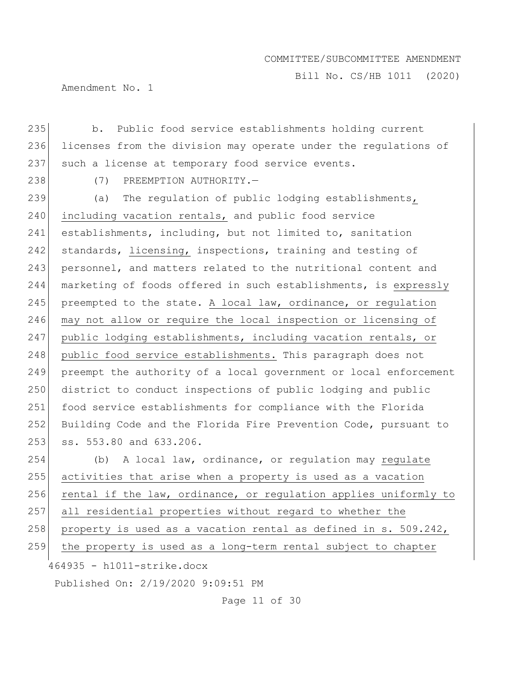Bill No. CS/HB 1011 (2020)

Amendment No. 1

235 b. Public food service establishments holding current 236 licenses from the division may operate under the regulations of 237 such a license at temporary food service events.

238 (7) PREEMPTION AUTHORITY.

239 (a) The requlation of public lodging establishments, 240 including vacation rentals, and public food service 241 establishments, including, but not limited to, sanitation 242 standards, licensing, inspections, training and testing of 243 personnel, and matters related to the nutritional content and 244 marketing of foods offered in such establishments, is expressly 245 preempted to the state. A local law, ordinance, or regulation 246 may not allow or require the local inspection or licensing of 247 public lodging establishments, including vacation rentals, or 248 public food service establishments. This paragraph does not 249 preempt the authority of a local government or local enforcement 250 district to conduct inspections of public lodging and public 251 food service establishments for compliance with the Florida 252 Building Code and the Florida Fire Prevention Code, pursuant to 253 ss. 553.80 and 633.206.

464935 - h1011-strike.docx 254 (b) A local law, ordinance, or regulation may regulate 255 activities that arise when a property is used as a vacation 256 rental if the law, ordinance, or regulation applies uniformly to 257 all residential properties without regard to whether the 258 property is used as a vacation rental as defined in  $s. 509.242$ , 259 the property is used as a long-term rental subject to chapter

Published On: 2/19/2020 9:09:51 PM

Page 11 of 30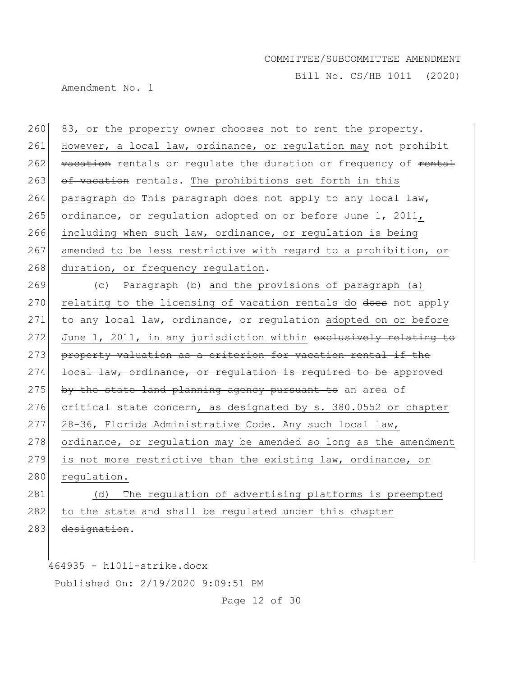Bill No. CS/HB 1011 (2020)

Amendment No. 1

260 83, or the property owner chooses not to rent the property. 261 However, a local law, ordinance, or regulation may not prohibit 262 vacation rentals or regulate the duration or frequency of <del>rental</del> 263 of vacation rentals. The prohibitions set forth in this 264 paragraph do This paragraph does not apply to any local law, 265 ordinance, or regulation adopted on or before June 1, 2011, 266 including when such law, ordinance, or regulation is being 267 amended to be less restrictive with regard to a prohibition, or 268 duration, or frequency regulation.

269 (c) Paragraph (b) and the provisions of paragraph (a) 270 relating to the licensing of vacation rentals do does not apply 271 to any local law, ordinance, or regulation adopted on or before 272 June 1, 2011, in any jurisdiction within exclusively relating to 273 property valuation as a criterion for vacation rental if the 274 local law, ordinance, or requiation is required to be approved 275 by the state land planning agency pursuant to an area of 276 critical state concern, as designated by s. 380.0552 or chapter 277 28-36, Florida Administrative Code. Any such local law, 278 ordinance, or regulation may be amended so long as the amendment 279 is not more restrictive than the existing law, ordinance, or 280 regulation. 281 (d) The regulation of advertising platforms is preempted 282 to the state and shall be regulated under this chapter

283 designation.

464935 - h1011-strike.docx

Published On: 2/19/2020 9:09:51 PM

Page 12 of 30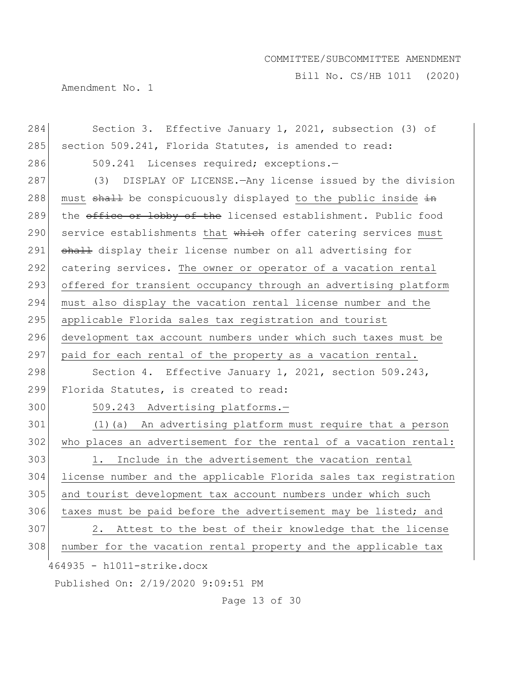Bill No. CS/HB 1011 (2020)

Amendment No. 1

| 284 | Section 3. Effective January 1, 2021, subsection (3) of          |
|-----|------------------------------------------------------------------|
| 285 | section 509.241, Florida Statutes, is amended to read:           |
| 286 | 509.241 Licenses required; exceptions.-                          |
| 287 | (3) DISPLAY OF LICENSE. - Any license issued by the division     |
| 288 | must shall be conspicuously displayed to the public inside in    |
| 289 | the office or lobby of the licensed establishment. Public food   |
| 290 | service establishments that which offer catering services must   |
| 291 | shall display their license number on all advertising for        |
| 292 | catering services. The owner or operator of a vacation rental    |
| 293 | offered for transient occupancy through an advertising platform  |
| 294 | must also display the vacation rental license number and the     |
| 295 | applicable Florida sales tax registration and tourist            |
| 296 | development tax account numbers under which such taxes must be   |
| 297 | paid for each rental of the property as a vacation rental.       |
| 298 | Section 4. Effective January 1, 2021, section 509.243,           |
| 299 | Florida Statutes, is created to read:                            |
| 300 | 509.243 Advertising platforms.-                                  |
| 301 | (1) (a) An advertising platform must require that a person       |
| 302 | who places an advertisement for the rental of a vacation rental: |
| 303 | Include in the advertisement the vacation rental<br>1.           |
| 304 | license number and the applicable Florida sales tax registration |
| 305 | and tourist development tax account numbers under which such     |
| 306 | taxes must be paid before the advertisement may be listed; and   |
| 307 | Attest to the best of their knowledge that the license<br>2.     |
| 308 | number for the vacation rental property and the applicable tax   |
|     | 464935 - h1011-strike.docx                                       |
|     | Published On: 2/19/2020 9:09:51 PM                               |

Page 13 of 30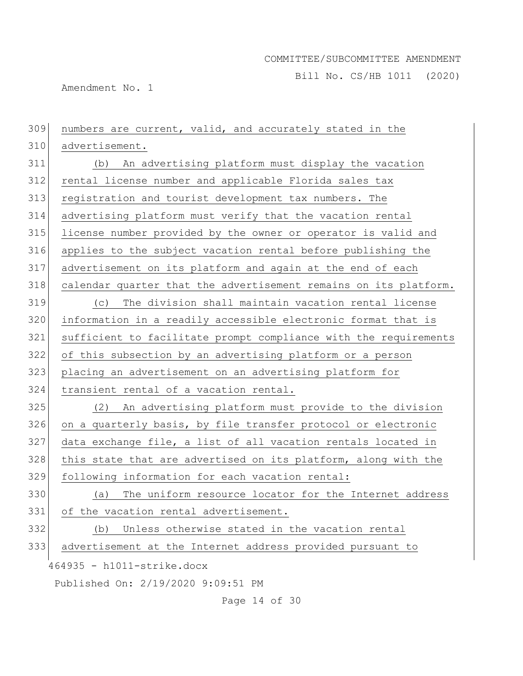Bill No. CS/HB 1011 (2020)

Amendment No. 1

| 309 | numbers are current, valid, and accurately stated in the         |
|-----|------------------------------------------------------------------|
| 310 | advertisement.                                                   |
| 311 | An advertising platform must display the vacation<br>(b)         |
| 312 | rental license number and applicable Florida sales tax           |
| 313 | registration and tourist development tax numbers. The            |
| 314 | advertising platform must verify that the vacation rental        |
| 315 | license number provided by the owner or operator is valid and    |
| 316 | applies to the subject vacation rental before publishing the     |
| 317 | advertisement on its platform and again at the end of each       |
| 318 | calendar quarter that the advertisement remains on its platform. |
| 319 | The division shall maintain vacation rental license<br>(C)       |
| 320 | information in a readily accessible electronic format that is    |
| 321 | sufficient to facilitate prompt compliance with the requirements |
| 322 | of this subsection by an advertising platform or a person        |
| 323 | placing an advertisement on an advertising platform for          |
| 324 | transient rental of a vacation rental.                           |
| 325 | An advertising platform must provide to the division<br>(2)      |
| 326 | on a quarterly basis, by file transfer protocol or electronic    |
| 327 | data exchange file, a list of all vacation rentals located in    |
| 328 | this state that are advertised on its platform, along with the   |
| 329 | following information for each vacation rental:                  |
| 330 | The uniform resource locator for the Internet address<br>(a)     |
| 331 | of the vacation rental advertisement.                            |
| 332 | Unless otherwise stated in the vacation rental<br>(b)            |
| 333 | advertisement at the Internet address provided pursuant to       |
|     | 464935 - h1011-strike.docx                                       |
|     | Published On: 2/19/2020 9:09:51 PM                               |
|     | Page 14 of 30                                                    |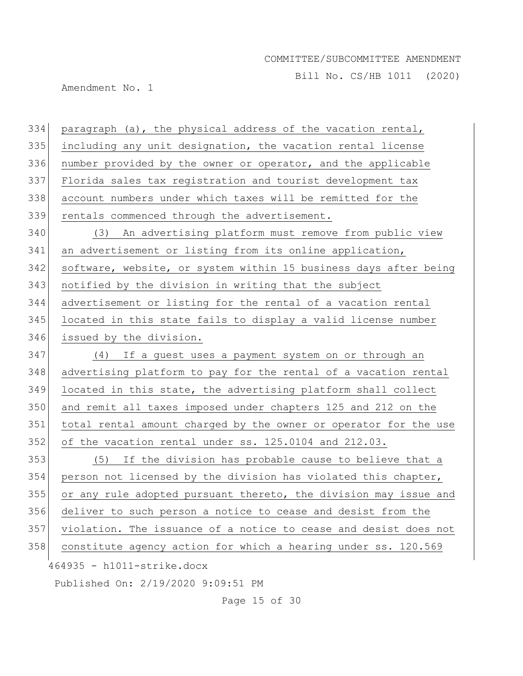Bill No. CS/HB 1011 (2020)

Amendment No. 1

464935 - h1011-strike.docx Published On: 2/19/2020 9:09:51 PM paragraph (a), the physical address of the vacation rental, 335 including any unit designation, the vacation rental license number provided by the owner or operator, and the applicable Florida sales tax registration and tourist development tax account numbers under which taxes will be remitted for the 339 rentals commenced through the advertisement. (3) An advertising platform must remove from public view 341 an advertisement or listing from its online application, software, website, or system within 15 business days after being notified by the division in writing that the subject advertisement or listing for the rental of a vacation rental located in this state fails to display a valid license number issued by the division. (4) If a guest uses a payment system on or through an advertising platform to pay for the rental of a vacation rental located in this state, the advertising platform shall collect and remit all taxes imposed under chapters 125 and 212 on the total rental amount charged by the owner or operator for the use of the vacation rental under ss. 125.0104 and 212.03. (5) If the division has probable cause to believe that a person not licensed by the division has violated this chapter, 355 or any rule adopted pursuant thereto, the division may issue and deliver to such person a notice to cease and desist from the violation. The issuance of a notice to cease and desist does not 358 constitute agency action for which a hearing under ss. 120.569

Page 15 of 30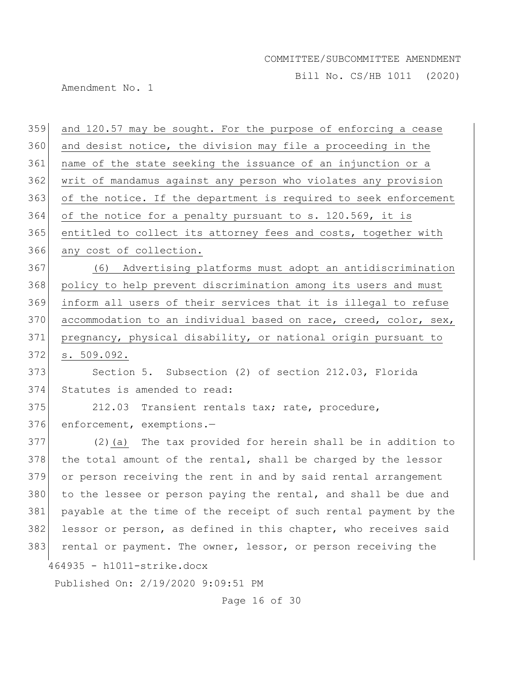Bill No. CS/HB 1011 (2020)

Amendment No. 1

| 359 | and 120.57 may be sought. For the purpose of enforcing a cease   |
|-----|------------------------------------------------------------------|
| 360 | and desist notice, the division may file a proceeding in the     |
| 361 | name of the state seeking the issuance of an injunction or a     |
| 362 | writ of mandamus against any person who violates any provision   |
| 363 | of the notice. If the department is required to seek enforcement |
| 364 | of the notice for a penalty pursuant to s. 120.569, it is        |
| 365 | entitled to collect its attorney fees and costs, together with   |
| 366 | any cost of collection.                                          |
| 367 | (6) Advertising platforms must adopt an antidiscrimination       |
| 368 | policy to help prevent discrimination among its users and must   |
| 369 | inform all users of their services that it is illegal to refuse  |
| 370 | accommodation to an individual based on race, creed, color, sex, |
| 371 | pregnancy, physical disability, or national origin pursuant to   |
| 372 | s. 509.092.                                                      |
| 373 | Section 5. Subsection (2) of section 212.03, Florida             |
| 374 | Statutes is amended to read:                                     |
| 375 | 212.03 Transient rentals tax; rate, procedure,                   |
| 376 | enforcement, exemptions.-                                        |
| 377 | (2) (a) The tax provided for herein shall be in addition to      |
| 378 | the total amount of the rental, shall be charged by the lessor   |
| 379 | or person receiving the rent in and by said rental arrangement   |
| 380 | to the lessee or person paying the rental, and shall be due and  |
| 381 | payable at the time of the receipt of such rental payment by the |
| 382 | lessor or person, as defined in this chapter, who receives said  |
| 383 | rental or payment. The owner, lessor, or person receiving the    |
|     | 464935 - h1011-strike.docx                                       |
|     | Published On: 2/19/2020 9:09:51 PM                               |
|     | Page 16 of 30                                                    |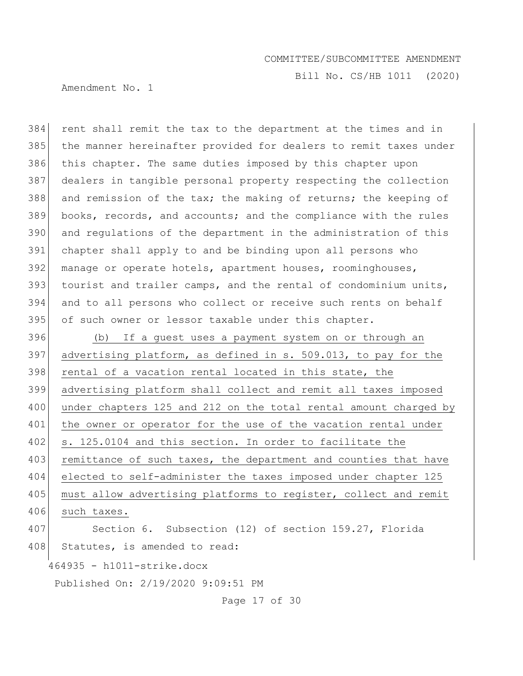Bill No. CS/HB 1011 (2020)

Amendment No. 1

 rent shall remit the tax to the department at the times and in the manner hereinafter provided for dealers to remit taxes under 386 this chapter. The same duties imposed by this chapter upon dealers in tangible personal property respecting the collection 388 and remission of the tax; the making of returns; the keeping of books, records, and accounts; and the compliance with the rules and regulations of the department in the administration of this chapter shall apply to and be binding upon all persons who 392 manage or operate hotels, apartment houses, roominghouses, tourist and trailer camps, and the rental of condominium units, and to all persons who collect or receive such rents on behalf 395 of such owner or lessor taxable under this chapter.

396 (b) If a guest uses a payment system on or through an 397 advertising platform, as defined in s. 509.013, to pay for the 398 rental of a vacation rental located in this state, the 399 advertising platform shall collect and remit all taxes imposed 400 under chapters 125 and 212 on the total rental amount charged by 401 the owner or operator for the use of the vacation rental under 402 s. 125.0104 and this section. In order to facilitate the 403 remittance of such taxes, the department and counties that have 404 elected to self-administer the taxes imposed under chapter 125 405 must allow advertising platforms to register, collect and remit 406 such taxes. 407 Section 6. Subsection (12) of section 159.27, Florida

408 Statutes, is amended to read:

464935 - h1011-strike.docx

Published On: 2/19/2020 9:09:51 PM

Page 17 of 30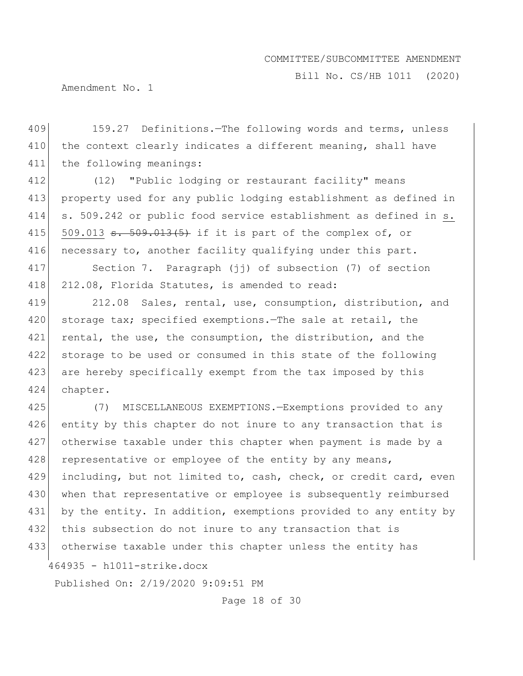Bill No. CS/HB 1011 (2020)

Amendment No. 1

409 159.27 Definitions.—The following words and terms, unless 410 the context clearly indicates a different meaning, shall have 411 the following meanings:

 (12) "Public lodging or restaurant facility" means property used for any public lodging establishment as defined in s. 509.242 or public food service establishment as defined in s.  $\vert$  509.013 <del>s. 509.013(5)</del> if it is part of the complex of, or 416 necessary to, another facility qualifying under this part.

417 Section 7. Paragraph (jj) of subsection (7) of section 418 212.08, Florida Statutes, is amended to read:

419 212.08 Sales, rental, use, consumption, distribution, and 420 storage tax; specified exemptions.—The sale at retail, the 421 rental, the use, the consumption, the distribution, and the 422 storage to be used or consumed in this state of the following 423 are hereby specifically exempt from the tax imposed by this 424 chapter.

464935 - h1011-strike.docx 425 (7) MISCELLANEOUS EXEMPTIONS.—Exemptions provided to any 426 entity by this chapter do not inure to any transaction that is 427 otherwise taxable under this chapter when payment is made by a 428 representative or employee of the entity by any means, 429 including, but not limited to, cash, check, or credit card, even 430 when that representative or employee is subsequently reimbursed 431 by the entity. In addition, exemptions provided to any entity by 432 this subsection do not inure to any transaction that is 433 otherwise taxable under this chapter unless the entity has

Published On: 2/19/2020 9:09:51 PM

Page 18 of 30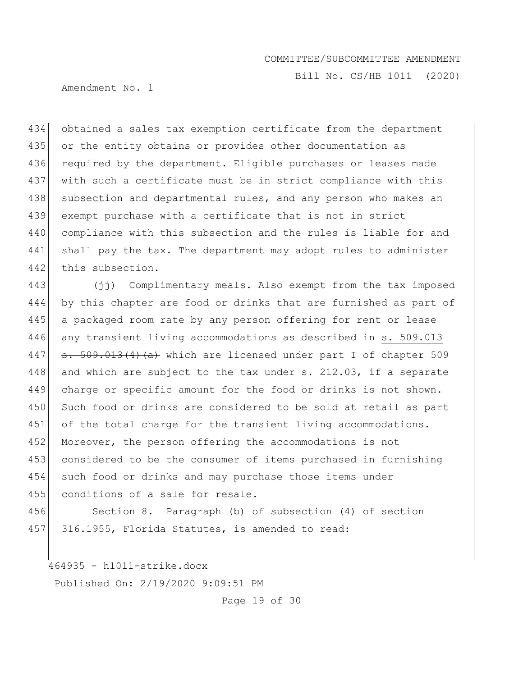Bill No. CS/HB 1011 (2020)

Amendment No. 1

434 obtained a sales tax exemption certificate from the department 435 or the entity obtains or provides other documentation as 436 required by the department. Eligible purchases or leases made 437 with such a certificate must be in strict compliance with this 438 | subsection and departmental rules, and any person who makes an 439 exempt purchase with a certificate that is not in strict 440 compliance with this subsection and the rules is liable for and 441 shall pay the tax. The department may adopt rules to administer 442 this subsection.

443 (jj) Complimentary meals.—Also exempt from the tax imposed 444 by this chapter are food or drinks that are furnished as part of 445 | a packaged room rate by any person offering for rent or lease 446 any transient living accommodations as described in s. 509.013 447  $\sigma$ . 509.013(4)(a) which are licensed under part I of chapter 509 448 and which are subject to the tax under s.  $212.03$ , if a separate 449 charge or specific amount for the food or drinks is not shown. 450 Such food or drinks are considered to be sold at retail as part 451 of the total charge for the transient living accommodations. 452 Moreover, the person offering the accommodations is not 453 considered to be the consumer of items purchased in furnishing 454 such food or drinks and may purchase those items under 455 conditions of a sale for resale.

456 Section 8. Paragraph (b) of subsection (4) of section 457 316.1955, Florida Statutes, is amended to read:

464935 - h1011-strike.docx

Published On: 2/19/2020 9:09:51 PM

Page 19 of 30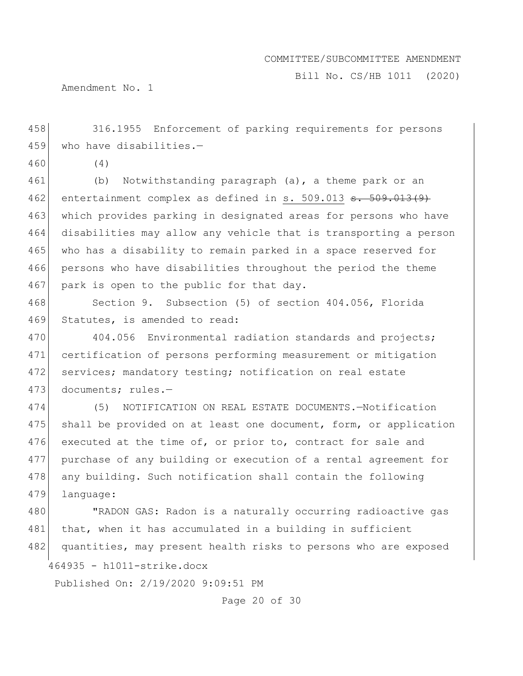Bill No. CS/HB 1011 (2020)

Amendment No. 1

458 316.1955 Enforcement of parking requirements for persons 459 who have disabilities. $-$ 

460 (4)

461 (b) Notwithstanding paragraph (a), a theme park or an 462 entertainment complex as defined in s. 509.013  $\texttt{s.}$  509.013(9) 463 which provides parking in designated areas for persons who have 464 disabilities may allow any vehicle that is transporting a person 465 who has a disability to remain parked in a space reserved for 466 persons who have disabilities throughout the period the theme 467 park is open to the public for that day.

468 Section 9. Subsection (5) of section 404.056, Florida 469 Statutes, is amended to read:

470 404.056 Environmental radiation standards and projects; 471 certification of persons performing measurement or mitigation 472 services; mandatory testing; notification on real estate 473 documents; rules.-

474 (5) NOTIFICATION ON REAL ESTATE DOCUMENTS.—Notification 475 shall be provided on at least one document, form, or application 476 executed at the time of, or prior to, contract for sale and 477 purchase of any building or execution of a rental agreement for 478 any building. Such notification shall contain the following 479 language:

464935 - h1011-strike.docx 480 | TRADON GAS: Radon is a naturally occurring radioactive gas 481 that, when it has accumulated in a building in sufficient 482 quantities, may present health risks to persons who are exposed

Published On: 2/19/2020 9:09:51 PM

Page 20 of 30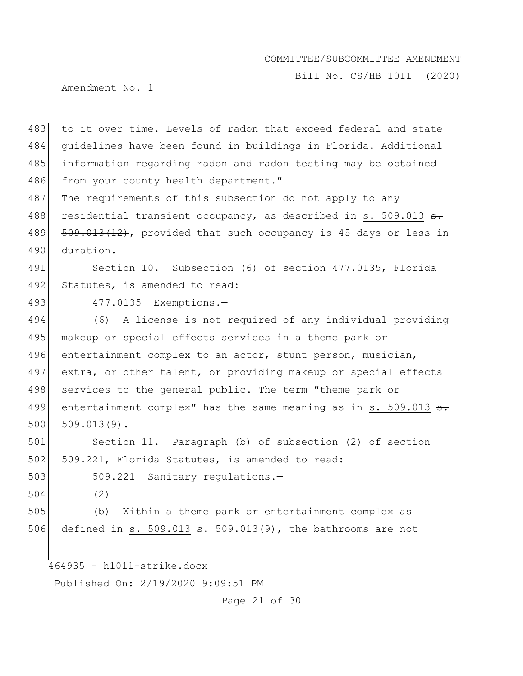Bill No. CS/HB 1011 (2020)

Amendment No. 1

483 to it over time. Levels of radon that exceed federal and state 484 guidelines have been found in buildings in Florida. Additional 485 information regarding radon and radon testing may be obtained 486 from your county health department."

487 The requirements of this subsection do not apply to any 488 residential transient occupancy, as described in s. 509.013 s. 489 509.013(12), provided that such occupancy is 45 days or less in 490 duration.

491 Section 10. Subsection (6) of section 477.0135, Florida 492 Statutes, is amended to read:

493 477.0135 Exemptions.-

494 (6) A license is not required of any individual providing 495 makeup or special effects services in a theme park or 496 entertainment complex to an actor, stunt person, musician, 497 extra, or other talent, or providing makeup or special effects 498 services to the general public. The term "theme park or 499 entertainment complex" has the same meaning as in s. 509.013  $\epsilon$ .  $500 \mid 509.013(9)$ .

501 Section 11. Paragraph (b) of subsection (2) of section 502 509.221, Florida Statutes, is amended to read:

503 509.221 Sanitary regulations.

504 (2)

505 (b) Within a theme park or entertainment complex as 506 defined in s. 509.013  $\leftrightarrow$  509.013(9), the bathrooms are not

464935 - h1011-strike.docx

Published On: 2/19/2020 9:09:51 PM

Page 21 of 30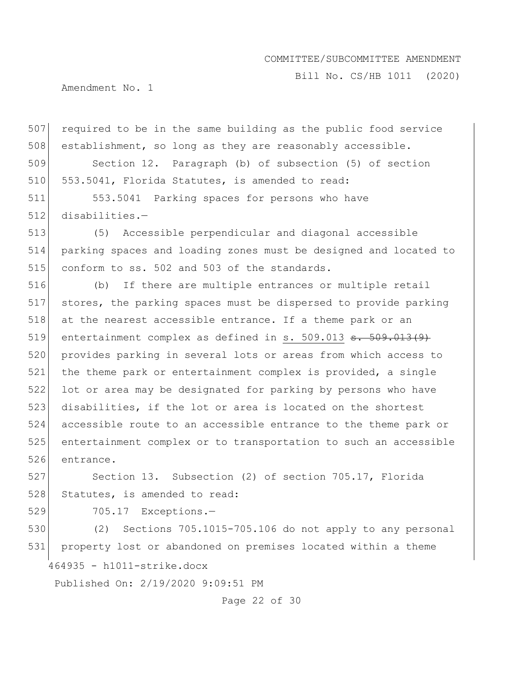Bill No. CS/HB 1011 (2020)

Amendment No. 1

 required to be in the same building as the public food service establishment, so long as they are reasonably accessible. Section 12. Paragraph (b) of subsection (5) of section 510 553.5041, Florida Statutes, is amended to read:

511 553.5041 Parking spaces for persons who have 512 disabilities.—

513 (5) Accessible perpendicular and diagonal accessible 514 parking spaces and loading zones must be designed and located to 515 conform to ss. 502 and 503 of the standards.

 (b) If there are multiple entrances or multiple retail stores, the parking spaces must be dispersed to provide parking 518 at the nearest accessible entrance. If a theme park or an 519 entertainment complex as defined in s. 509.013  $\texttt{s.}$  509.013(9) provides parking in several lots or areas from which access to 521 the theme park or entertainment complex is provided, a single 522 lot or area may be designated for parking by persons who have disabilities, if the lot or area is located on the shortest accessible route to an accessible entrance to the theme park or entertainment complex or to transportation to such an accessible entrance.

527 Section 13. Subsection (2) of section 705.17, Florida 528 Statutes, is amended to read:

529 705.17 Exceptions.-

464935 - h1011-strike.docx 530 (2) Sections 705.1015-705.106 do not apply to any personal 531 property lost or abandoned on premises located within a theme

Published On: 2/19/2020 9:09:51 PM

Page 22 of 30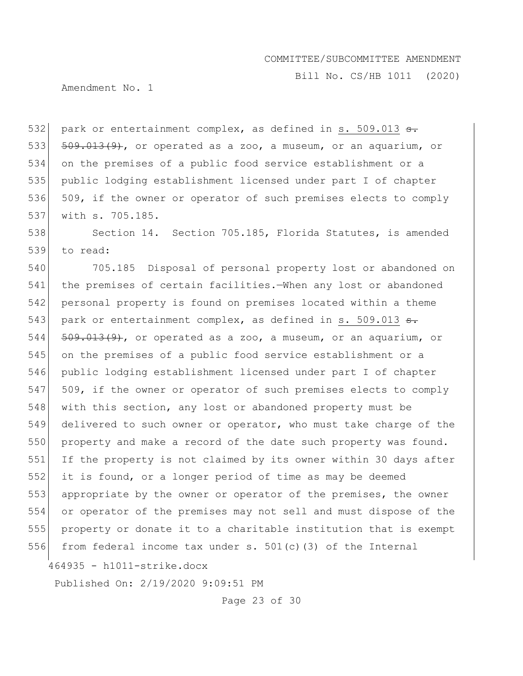Bill No. CS/HB 1011 (2020)

Amendment No. 1

532 park or entertainment complex, as defined in s. 509.013  $\epsilon$ .  $\left[509.013(9)\right]$ , or operated as a zoo, a museum, or an aquarium, or on the premises of a public food service establishment or a public lodging establishment licensed under part I of chapter 536 509, if the owner or operator of such premises elects to comply with s. 705.185.

538 Section 14. Section 705.185, Florida Statutes, is amended 539 to read:

540 705.185 Disposal of personal property lost or abandoned on 541 the premises of certain facilities.—When any lost or abandoned 542 personal property is found on premises located within a theme 543 park or entertainment complex, as defined in s. 509.013  $\epsilon$ .  $544$   $509.013(9)$ , or operated as a zoo, a museum, or an aquarium, or 545 on the premises of a public food service establishment or a 546 public lodging establishment licensed under part I of chapter 547 509, if the owner or operator of such premises elects to comply 548 with this section, any lost or abandoned property must be 549 delivered to such owner or operator, who must take charge of the 550 property and make a record of the date such property was found. 551 If the property is not claimed by its owner within 30 days after 552 it is found, or a longer period of time as may be deemed 553 appropriate by the owner or operator of the premises, the owner 554 or operator of the premises may not sell and must dispose of the 555 property or donate it to a charitable institution that is exempt 556 from federal income tax under s. 501(c)(3) of the Internal

464935 - h1011-strike.docx

Published On: 2/19/2020 9:09:51 PM

Page 23 of 30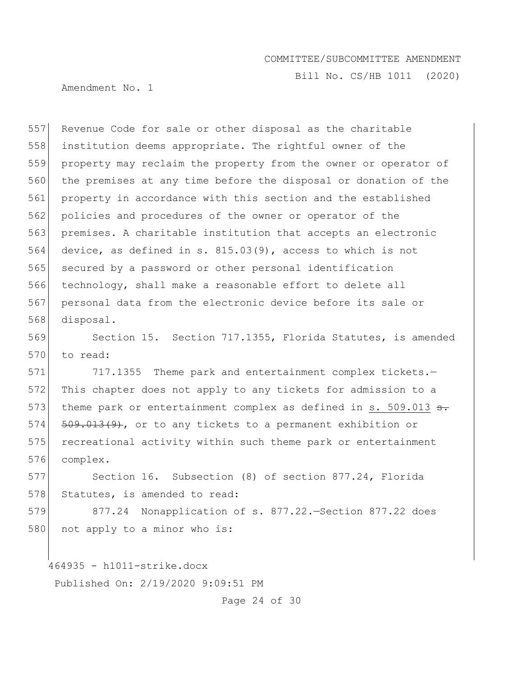Bill No. CS/HB 1011 (2020)

Amendment No. 1

557 Revenue Code for sale or other disposal as the charitable institution deems appropriate. The rightful owner of the property may reclaim the property from the owner or operator of the premises at any time before the disposal or donation of the property in accordance with this section and the established 562 policies and procedures of the owner or operator of the premises. A charitable institution that accepts an electronic device, as defined in s. 815.03(9), access to which is not secured by a password or other personal identification technology, shall make a reasonable effort to delete all personal data from the electronic device before its sale or 568 disposal.

569 Section 15. Section 717.1355, Florida Statutes, is amended 570 to read:

571 717.1355 Theme park and entertainment complex tickets.-572 This chapter does not apply to any tickets for admission to a 573 theme park or entertainment complex as defined in s. 509.013 s. 574 509.013(9), or to any tickets to a permanent exhibition or 575 recreational activity within such theme park or entertainment 576 complex.

577 Section 16. Subsection (8) of section 877.24, Florida 578 Statutes, is amended to read:

579 877.24 Nonapplication of s. 877.22.—Section 877.22 does 580 not apply to a minor who is:

464935 - h1011-strike.docx

Published On: 2/19/2020 9:09:51 PM

Page 24 of 30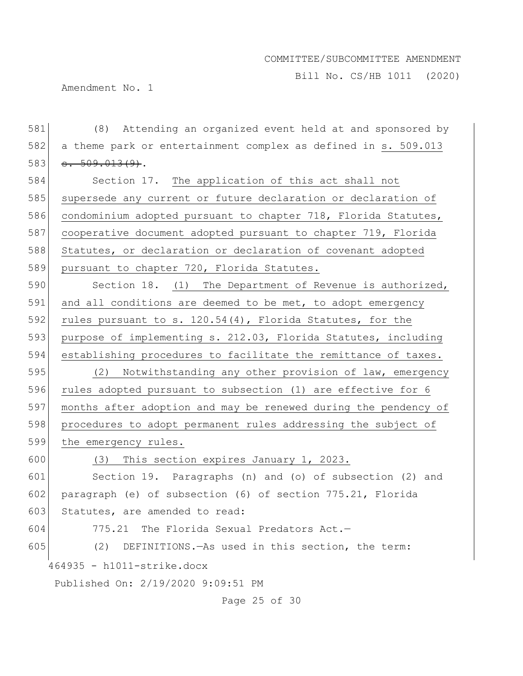Bill No. CS/HB 1011 (2020)

Amendment No. 1

464935 - h1011-strike.docx Published On: 2/19/2020 9:09:51 PM Page 25 of 30 581 (8) Attending an organized event held at and sponsored by 582 a theme park or entertainment complex as defined in s. 509.013  $583$   $\overline{\phantom{0}56.99.013(9)}$ . 584 Section 17. The application of this act shall not 585 supersede any current or future declaration or declaration of 586 condominium adopted pursuant to chapter 718, Florida Statutes, 587 cooperative document adopted pursuant to chapter 719, Florida 588 Statutes, or declaration or declaration of covenant adopted 589 pursuant to chapter 720, Florida Statutes. 590 Section 18. (1) The Department of Revenue is authorized, 591 and all conditions are deemed to be met, to adopt emergency 592 rules pursuant to s.  $120.54(4)$ , Florida Statutes, for the 593 purpose of implementing s. 212.03, Florida Statutes, including 594 establishing procedures to facilitate the remittance of taxes. 595 (2) Notwithstanding any other provision of law, emergency 596 rules adopted pursuant to subsection (1) are effective for 6 597 months after adoption and may be renewed during the pendency of 598 procedures to adopt permanent rules addressing the subject of 599 the emergency rules. 600 (3) This section expires January 1, 2023. 601 Section 19. Paragraphs (n) and (o) of subsection (2) and 602 paragraph (e) of subsection (6) of section 775.21, Florida 603 Statutes, are amended to read: 604 775.21 The Florida Sexual Predators  $Act.$ 605 (2) DEFINITIONS.—As used in this section, the term: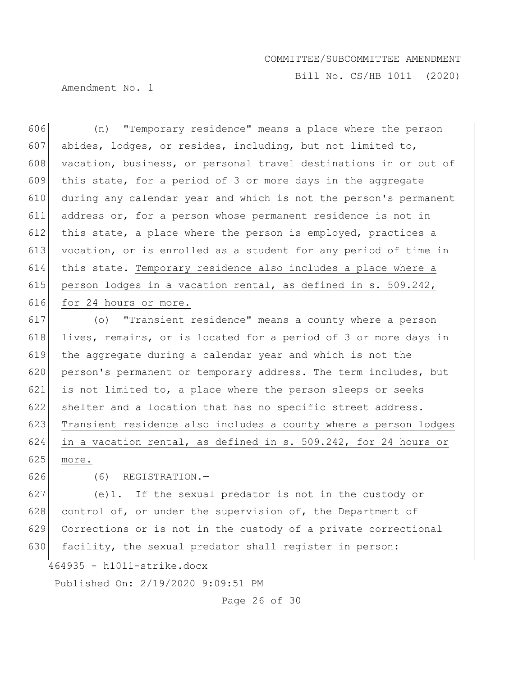Bill No. CS/HB 1011 (2020)

Amendment No. 1

 (n) "Temporary residence" means a place where the person abides, lodges, or resides, including, but not limited to, 608 vacation, business, or personal travel destinations in or out of this state, for a period of 3 or more days in the aggregate during any calendar year and which is not the person's permanent address or, for a person whose permanent residence is not in 612 this state, a place where the person is employed, practices a vocation, or is enrolled as a student for any period of time in this state. Temporary residence also includes a place where a 615 person lodges in a vacation rental, as defined in s. 509.242, 616 for 24 hours or more. (o) "Transient residence" means a county where a person

618 lives, remains, or is located for a period of 3 or more days in 619 the aggregate during a calendar year and which is not the 620 person's permanent or temporary address. The term includes, but 621 is not limited to, a place where the person sleeps or seeks 622 shelter and a location that has no specific street address. 623 Transient residence also includes a county where a person lodges 624 in a vacation rental, as defined in s. 509.242, for 24 hours or  $625$  more.

 $626$  (6) REGISTRATION. -

627 (e)1. If the sexual predator is not in the custody or 628 control of, or under the supervision of, the Department of 629 Corrections or is not in the custody of a private correctional 630 facility, the sexual predator shall register in person:

464935 - h1011-strike.docx

Published On: 2/19/2020 9:09:51 PM

Page 26 of 30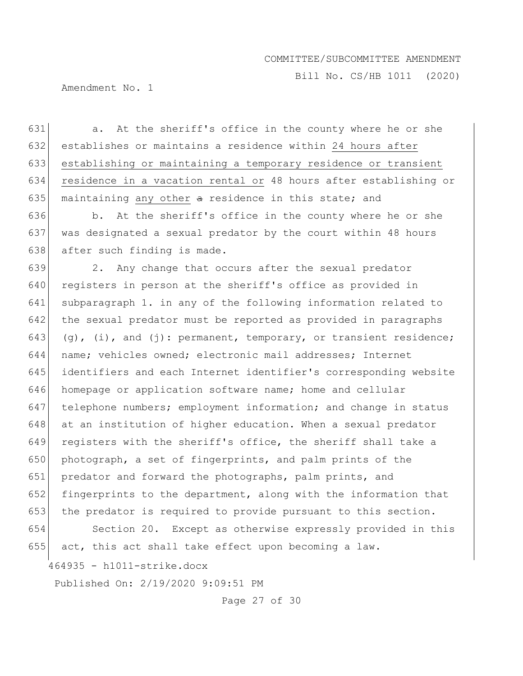Bill No. CS/HB 1011 (2020)

Amendment No. 1

631 a. At the sheriff's office in the county where he or she 632 establishes or maintains a residence within 24 hours after 633 establishing or maintaining a temporary residence or transient 634 residence in a vacation rental or 48 hours after establishing or 635 maintaining any other  $\alpha$  residence in this state; and

636 b. At the sheriff's office in the county where he or she 637 was designated a sexual predator by the court within 48 hours 638 after such finding is made.

639 2. Any change that occurs after the sexual predator 640 registers in person at the sheriff's office as provided in 641 subparagraph 1. in any of the following information related to 642 the sexual predator must be reported as provided in paragraphs 643 (g), (i), and (j): permanent, temporary, or transient residence; 644 name; vehicles owned; electronic mail addresses; Internet 645 identifiers and each Internet identifier's corresponding website 646 homepage or application software name; home and cellular 647 telephone numbers; employment information; and change in status 648 at an institution of higher education. When a sexual predator 649 registers with the sheriff's office, the sheriff shall take a 650 photograph, a set of fingerprints, and palm prints of the 651 predator and forward the photographs, palm prints, and 652 fingerprints to the department, along with the information that 653 the predator is required to provide pursuant to this section. 654 Section 20. Except as otherwise expressly provided in this

655  $\sigma$  act, this act shall take effect upon becoming a law.

464935 - h1011-strike.docx

Published On: 2/19/2020 9:09:51 PM

Page 27 of 30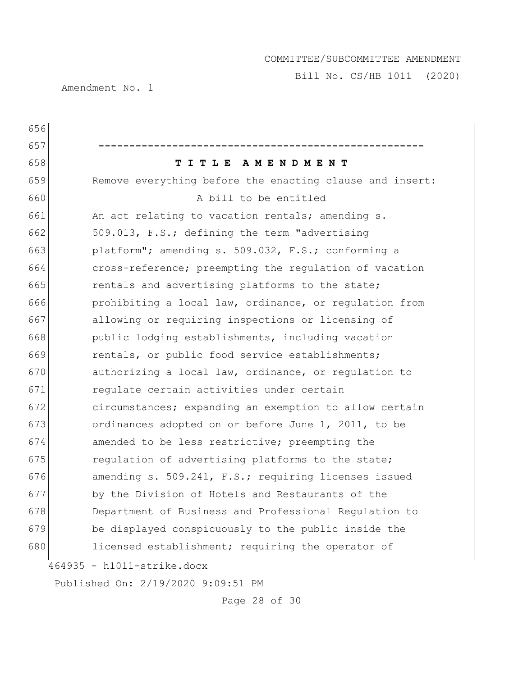Bill No. CS/HB 1011 (2020)

Amendment No. 1

| 656 |                                                          |
|-----|----------------------------------------------------------|
| 657 |                                                          |
| 658 | TITLE AMENDMENT                                          |
| 659 | Remove everything before the enacting clause and insert: |
| 660 | A bill to be entitled                                    |
| 661 | An act relating to vacation rentals; amending s.         |
| 662 | 509.013, F.S.; defining the term "advertising            |
| 663 | platform"; amending s. 509.032, F.S.; conforming a       |
| 664 | cross-reference; preempting the regulation of vacation   |
| 665 | rentals and advertising platforms to the state;          |
| 666 | prohibiting a local law, ordinance, or regulation from   |
| 667 | allowing or requiring inspections or licensing of        |
| 668 | public lodging establishments, including vacation        |
| 669 | rentals, or public food service establishments;          |
| 670 | authorizing a local law, ordinance, or regulation to     |
| 671 | regulate certain activities under certain                |
| 672 | circumstances; expanding an exemption to allow certain   |
| 673 | ordinances adopted on or before June 1, 2011, to be      |
| 674 | amended to be less restrictive; preempting the           |
| 675 | regulation of advertising platforms to the state;        |
| 676 | amending s. 509.241, F.S.; requiring licenses issued     |
| 677 | by the Division of Hotels and Restaurants of the         |
| 678 | Department of Business and Professional Regulation to    |
| 679 | be displayed conspicuously to the public inside the      |
| 680 | licensed establishment; requiring the operator of        |
|     | 464935 - h1011-strike.docx                               |
|     | Published On: 2/19/2020 9:09:51 PM                       |

Page 28 of 30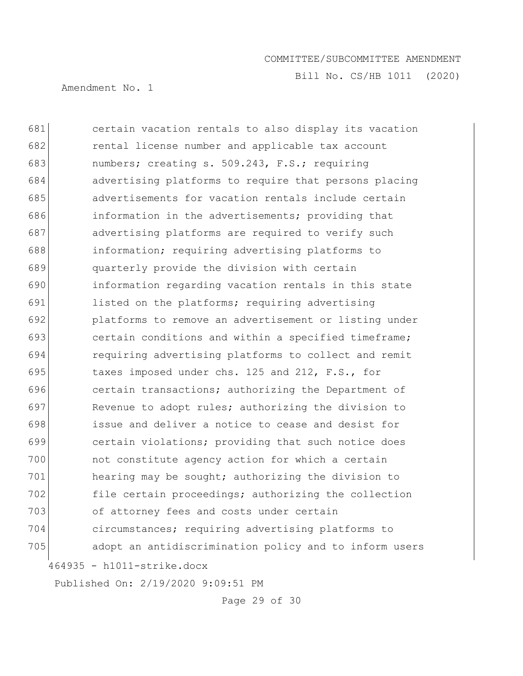Bill No. CS/HB 1011 (2020)

Amendment No. 1

464935 - h1011-strike.docx certain vacation rentals to also display its vacation rental license number and applicable tax account numbers; creating s. 509.243, F.S.; requiring advertising platforms to require that persons placing advertisements for vacation rentals include certain information in the advertisements; providing that 687 advertising platforms are required to verify such information; requiring advertising platforms to quarterly provide the division with certain information regarding vacation rentals in this state 691 listed on the platforms; requiring advertising platforms to remove an advertisement or listing under 693 certain conditions and within a specified timeframe; requiring advertising platforms to collect and remit 695 taxes imposed under chs. 125 and 212, F.S., for **certain transactions; authorizing the Department of**  Revenue to adopt rules; authorizing the division to issue and deliver a notice to cease and desist for certain violations; providing that such notice does not constitute agency action for which a certain hearing may be sought; authorizing the division to file certain proceedings; authorizing the collection 703 of attorney fees and costs under certain circumstances; requiring advertising platforms to 705 adopt an antidiscrimination policy and to inform users

Published On: 2/19/2020 9:09:51 PM

Page 29 of 30